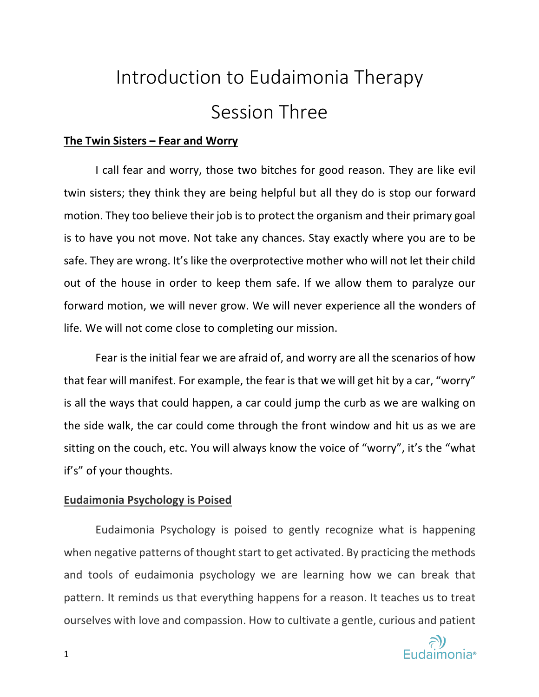# Introduction to Eudaimonia Therapy Session Three

## **The Twin Sisters – Fear and Worry**

I call fear and worry, those two bitches for good reason. They are like evil twin sisters; they think they are being helpful but all they do is stop our forward motion. They too believe their job is to protect the organism and their primary goal is to have you not move. Not take any chances. Stay exactly where you are to be safe. They are wrong. It's like the overprotective mother who will not let their child out of the house in order to keep them safe. If we allow them to paralyze our forward motion, we will never grow. We will never experience all the wonders of life. We will not come close to completing our mission.

Fear is the initial fear we are afraid of, and worry are all the scenarios of how that fear will manifest. For example, the fear is that we will get hit by a car, "worry" is all the ways that could happen, a car could jump the curb as we are walking on the side walk, the car could come through the front window and hit us as we are sitting on the couch, etc. You will always know the voice of "worry", it's the "what if's" of your thoughts.

## **Eudaimonia Psychology is Poised**

Eudaimonia Psychology is poised to gently recognize what is happening when negative patterns of thought start to get activated. By practicing the methods and tools of eudaimonia psychology we are learning how we can break that pattern. It reminds us that everything happens for a reason. It teaches us to treat ourselves with love and compassion. How to cultivate a gentle, curious and patient

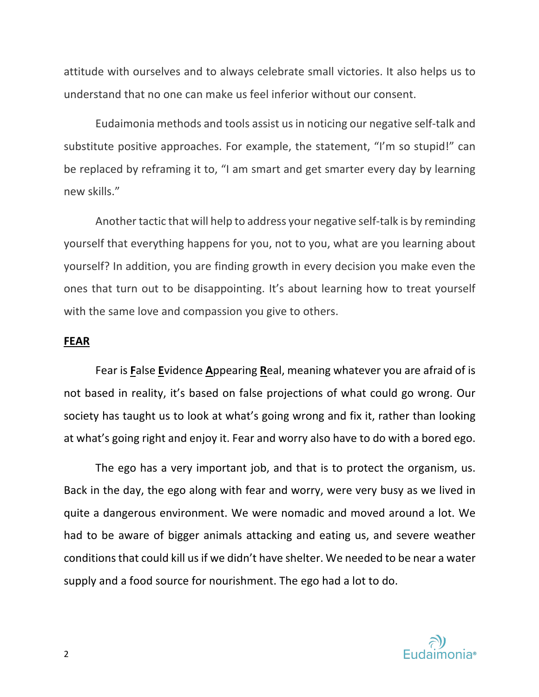attitude with ourselves and to always celebrate small victories. It also helps us to understand that no one can make us feel inferior without our consent.

Eudaimonia methods and tools assist us in noticing our negative self-talk and substitute positive approaches. For example, the statement, "I'm so stupid!" can be replaced by reframing it to, "I am smart and get smarter every day by learning new skills."

Another tactic that will help to address your negative self-talk is by reminding yourself that everything happens for you, not to you, what are you learning about yourself? In addition, you are finding growth in every decision you make even the ones that turn out to be disappointing. It's about learning how to treat yourself with the same love and compassion you give to others.

#### **FEAR**

Fear is **F**alse **E**vidence **A**ppearing **R**eal, meaning whatever you are afraid of is not based in reality, it's based on false projections of what could go wrong. Our society has taught us to look at what's going wrong and fix it, rather than looking at what's going right and enjoy it. Fear and worry also have to do with a bored ego.

The ego has a very important job, and that is to protect the organism, us. Back in the day, the ego along with fear and worry, were very busy as we lived in quite a dangerous environment. We were nomadic and moved around a lot. We had to be aware of bigger animals attacking and eating us, and severe weather conditions that could kill us if we didn't have shelter. We needed to be near a water supply and a food source for nourishment. The ego had a lot to do.

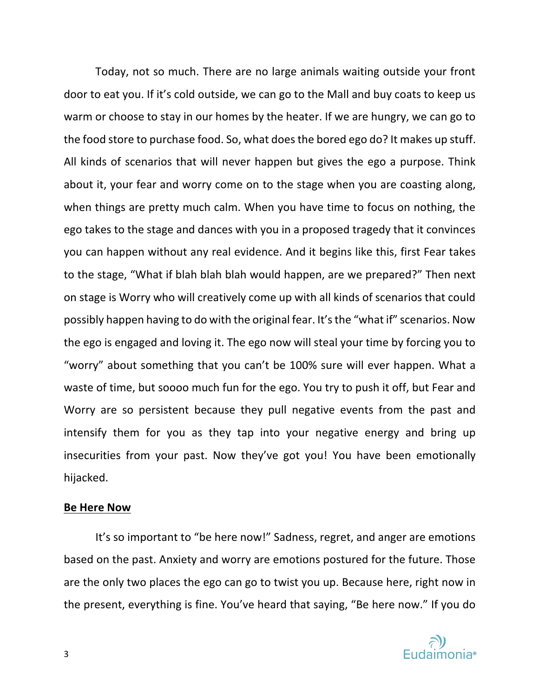Today, not so much. There are no large animals waiting outside your front door to eat you. If it's cold outside, we can go to the Mall and buy coats to keep us warm or choose to stay in our homes by the heater. If we are hungry, we can go to the food store to purchase food. So, what does the bored ego do? It makes up stuff. All kinds of scenarios that will never happen but gives the ego a purpose. Think about it, your fear and worry come on to the stage when you are coasting along, when things are pretty much calm. When you have time to focus on nothing, the ego takes to the stage and dances with you in a proposed tragedy that it convinces you can happen without any real evidence. And it begins like this, first Fear takes to the stage, "What if blah blah blah would happen, are we prepared?" Then next on stage is Worry who will creatively come up with all kinds of scenarios that could possibly happen having to do with the original fear. It's the "what if" scenarios. Now the ego is engaged and loving it. The ego now will steal your time by forcing you to "worry" about something that you can't be 100% sure will ever happen. What a waste of time, but soooo much fun for the ego. You try to push it off, but Fear and Worry are so persistent because they pull negative events from the past and intensify them for you as they tap into your negative energy and bring up insecurities from your past. Now they've got you! You have been emotionally hijacked.

## **Be Here Now**

 It's so important to "be here now!" Sadness, regret, and anger are emotions based on the past. Anxiety and worry are emotions postured for the future. Those are the only two places the ego can go to twist you up. Because here, right now in the present, everything is fine. You've heard that saying, "Be here now." If you do

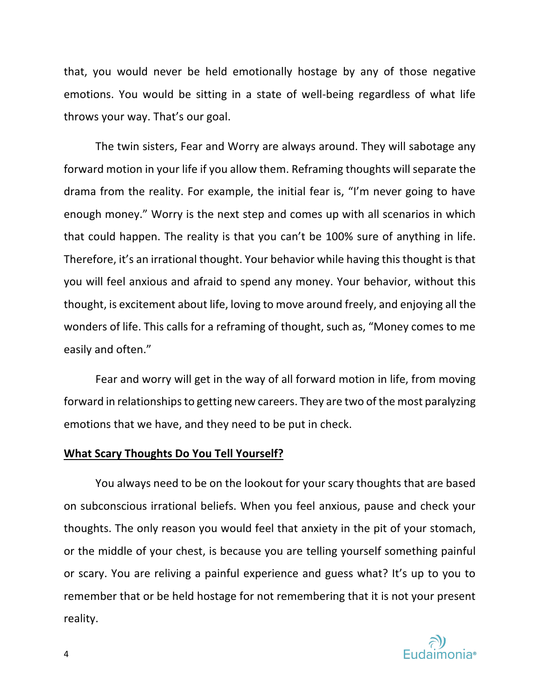that, you would never be held emotionally hostage by any of those negative emotions. You would be sitting in a state of well-being regardless of what life throws your way. That's our goal.

The twin sisters, Fear and Worry are always around. They will sabotage any forward motion in your life if you allow them. Reframing thoughts will separate the drama from the reality. For example, the initial fear is, "I'm never going to have enough money." Worry is the next step and comes up with all scenarios in which that could happen. The reality is that you can't be 100% sure of anything in life. Therefore, it's an irrational thought. Your behavior while having this thought is that you will feel anxious and afraid to spend any money. Your behavior, without this thought, is excitement about life, loving to move around freely, and enjoying all the wonders of life. This calls for a reframing of thought, such as, "Money comes to me easily and often."

Fear and worry will get in the way of all forward motion in life, from moving forward in relationships to getting new careers. They are two of the most paralyzing emotions that we have, and they need to be put in check.

#### **What Scary Thoughts Do You Tell Yourself?**

You always need to be on the lookout for your scary thoughts that are based on subconscious irrational beliefs. When you feel anxious, pause and check your thoughts. The only reason you would feel that anxiety in the pit of your stomach, or the middle of your chest, is because you are telling yourself something painful or scary. You are reliving a painful experience and guess what? It's up to you to remember that or be held hostage for not remembering that it is not your present reality.

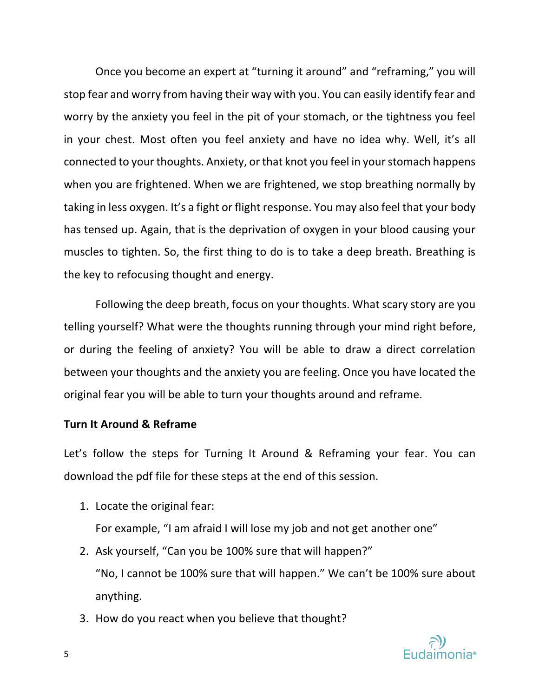Once you become an expert at "turning it around" and "reframing," you will stop fear and worry from having their way with you. You can easily identify fear and worry by the anxiety you feel in the pit of your stomach, or the tightness you feel in your chest. Most often you feel anxiety and have no idea why. Well, it's all connected to your thoughts. Anxiety, or that knot you feel in your stomach happens when you are frightened. When we are frightened, we stop breathing normally by taking in less oxygen. It's a fight or flight response. You may also feel that your body has tensed up. Again, that is the deprivation of oxygen in your blood causing your muscles to tighten. So, the first thing to do is to take a deep breath. Breathing is the key to refocusing thought and energy.

Following the deep breath, focus on your thoughts. What scary story are you telling yourself? What were the thoughts running through your mind right before, or during the feeling of anxiety? You will be able to draw a direct correlation between your thoughts and the anxiety you are feeling. Once you have located the original fear you will be able to turn your thoughts around and reframe.

# **Turn It Around & Reframe**

Let's follow the steps for Turning It Around & Reframing your fear. You can download the pdf file for these steps at the end of this session.

- 1. Locate the original fear: For example, "I am afraid I will lose my job and not get another one"
- 2. Ask yourself, "Can you be 100% sure that will happen?" "No, I cannot be 100% sure that will happen." We can't be 100% sure about anything.
- 3. How do you react when you believe that thought?

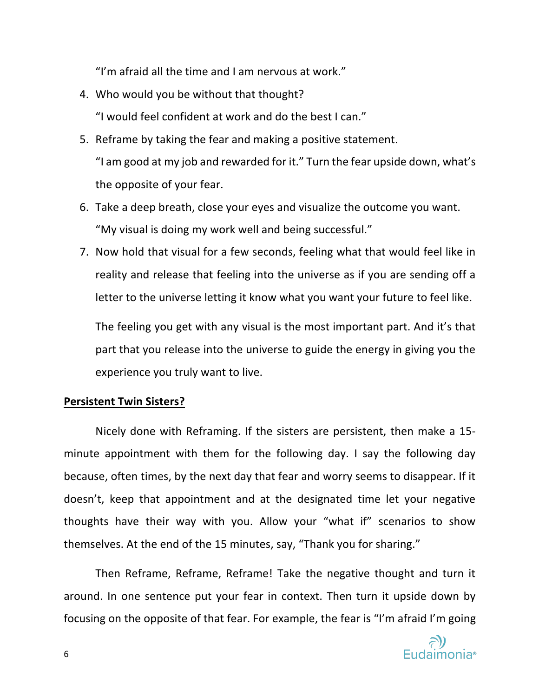"I'm afraid all the time and I am nervous at work."

4. Who would you be without that thought?

"I would feel confident at work and do the best I can."

- 5. Reframe by taking the fear and making a positive statement. "I am good at my job and rewarded for it." Turn the fear upside down, what's the opposite of your fear.
- 6. Take a deep breath, close your eyes and visualize the outcome you want. "My visual is doing my work well and being successful."
- 7. Now hold that visual for a few seconds, feeling what that would feel like in reality and release that feeling into the universe as if you are sending off a letter to the universe letting it know what you want your future to feel like.

The feeling you get with any visual is the most important part. And it's that part that you release into the universe to guide the energy in giving you the experience you truly want to live.

## **Persistent Twin Sisters?**

Nicely done with Reframing. If the sisters are persistent, then make a 15 minute appointment with them for the following day. I say the following day because, often times, by the next day that fear and worry seems to disappear. If it doesn't, keep that appointment and at the designated time let your negative thoughts have their way with you. Allow your "what if" scenarios to show themselves. At the end of the 15 minutes, say, "Thank you for sharing."

Then Reframe, Reframe, Reframe! Take the negative thought and turn it around. In one sentence put your fear in context. Then turn it upside down by focusing on the opposite of that fear. For example, the fear is "I'm afraid I'm going